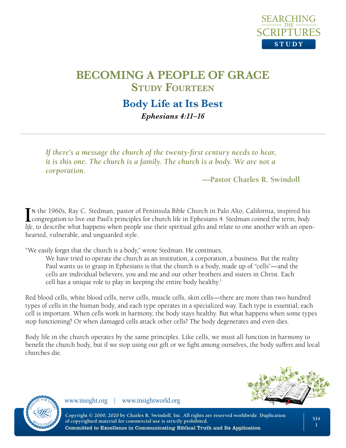

# **Body Life at Its Best** *Ephesians 4:11–16*

*If there's a message the church of the twenty-first century needs to hear, it is this one. The church is a family. The church is a body. We are not a corporation.*

**—Pastor Charles R. Swindoll**

IN the 1960s, Ray C. Stedman, pastor of Peninsula Bible Church in Palo Alto, California, inspired his congregation to live out Paul's principles for church life in Ephesians 4. Stedman coined the term, *body* congregation to live out Paul's principles for church life in Ephesians 4. Stedman coined the term, *body life*, to describe what happens when people use their spiritual gifts and relate to one another with an openhearted, vulnerable, and unguarded style.

"We easily forget that the church is a body," wrote Stedman. He continues,

We have tried to operate the church as an institution, a corporation, a business. But the reality Paul wants us to grasp in Ephesians is that the church is a body, made up of "cells"—and the cells are individual believers, you and me and our other brothers and sisters in Christ. Each cell has a unique role to play in keeping the entire body healthy.<sup>1</sup>

Red blood cells, white blood cells, nerve cells, muscle cells, skin cells—there are more than two hundred types of cells in the human body, and each type operates in a specialized way. Each type is essential; each cell is important. When cells work in harmony, the body stays healthy. But what happens when some types stop functioning? Or when damaged cells attack other cells? The body degenerates and even dies.

Body life in the church operates by the same principles. Like cells, we must all function in harmony to benefit the church body, but if we stop using our gift or we fight among ourselves, the body suffers and local churches die.





www.insight.org | www.insightworld.org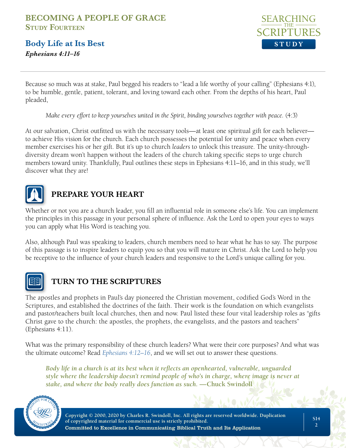**Body Life at Its Best** *Ephesians 4:11–16*



Because so much was at stake, Paul begged his readers to "lead a life worthy of your calling" (Ephesians 4:1), to be humble, gentle, patient, tolerant, and loving toward each other. From the depths of his heart, Paul pleaded,

*Make every effort to keep yourselves united in the Spirit, binding yourselves together with peace.* (4:3)

At our salvation, Christ outfitted us with the necessary tools—at least one spiritual gift for each believer to achieve His vision for the church. Each church possesses the potential for unity and peace when every member exercises his or her gift. But it's up to church *leaders* to unlock this treasure. The unity-throughdiversity dream won't happen without the leaders of the church taking specific steps to urge church members toward unity. Thankfully, Paul outlines these steps in Ephesians 4:11–16, and in this study, we'll discover what they are!



## **PREPARE YOUR HEART**

Whether or not you are a church leader, you fill an influential role in someone else's life. You can implement the principles in this passage in your personal sphere of influence. Ask the Lord to open your eyes to ways you can apply what His Word is teaching you.

Also, although Paul was speaking to leaders, church members need to hear what he has to say. The purpose of this passage is to inspire leaders to equip you so that you will mature in Christ. Ask the Lord to help you be receptive to the influence of your church leaders and responsive to the Lord's unique calling for you.



## **TURN TO THE SCRIPTURES**

The apostles and prophets in Paul's day pioneered the Christian movement, codified God's Word in the Scriptures, and established the doctrines of the faith. Their work is the foundation on which evangelists and pastor/teachers built local churches, then and now. Paul listed these four vital leadership roles as "gifts Christ gave to the church: the apostles, the prophets, the evangelists, and the pastors and teachers" (Ephesians 4:11).

What was the primary responsibility of these church leaders? What were their core purposes? And what was the ultimate outcome? Read *[Ephesians 4:12–16](https://www.biblegateway.com/passage/?search=eph+4%3A12-16&version=NLT)*, and we will set out to answer these questions.

*Body life in a church is at its best when it reflects an openhearted, vulnerable, unguarded style where the leadership doesn't remind people of who's in charge, where image is never at stake, and where the body really does function as such.* **—Chuck Swindoll**

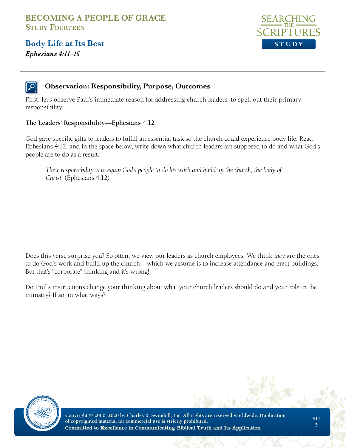**Body Life at Its Best** *Ephesians 4:11–16*



### **Observation: Responsibility, Purpose, Outcomes**

First, let's observe Paul's immediate reason for addressing church leaders: to spell out their primary responsibility.

#### **The Leaders' Responsibility—Ephesians 4:12**

God gave specific gifts to leaders to fulfill an essential task so the church could experience body life. Read Ephesians 4:12, and in the space below, write down what church leaders are supposed to do and what God's people are to do as a result.

*Their responsibility is to equip God's people to do his work and build up the church, the body of Christ.* (Ephesians 4:12)

Does this verse surprise you? So often, we view our leaders as church employees. We think *they* are the ones to do God's work and build up the church—which we assume is to increase attendance and erect buildings. But that's "corporate" thinking and it's wrong!

Do Paul's instructions change your thinking about what your church leaders should do and your role in the ministry? If so, in what ways?

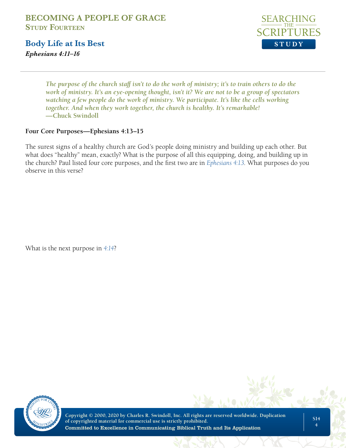**Body Life at Its Best** *Ephesians 4:11–16*



*The purpose of the church staff isn't to do the work of ministry; it's to train others to do the work of ministry. It's an eye-opening thought, isn't it? We are not to be a group of spectators watching a few people do the work of ministry. We participate. It's like the cells working together. And when they work together, the church is healthy. It's remarkable!*  **—Chuck Swindoll**

#### **Four Core Purposes—Ephesians 4:13–15**

The surest signs of a healthy church are God's people doing ministry and building up each other. But what does "healthy" mean, exactly? What is the purpose of all this equipping, doing, and building up in the church? Paul listed four core purposes, and the first two are in *[Ephesians 4:13](https://www.biblegateway.com/passage/?search=eph%204%3A13&version=NLT)*. What purposes do you observe in this verse?

What is the next purpose in *[4:14](https://www.biblegateway.com/passage/?search=eph+4%3A14&version=NLT)*?

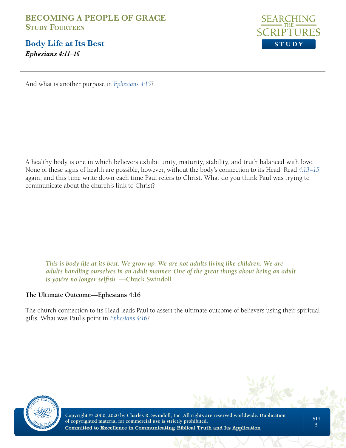**Body Life at Its Best** *Ephesians 4:11–16*



And what is another purpose in *[Ephesians 4:15](https://www.biblegateway.com/passage/?search=eph+4%3A15&version=NLT)*?

A healthy body is one in which believers exhibit unity, maturity, stability, and truth balanced with love. None of these signs of health are possible, however, without the body's connection to its Head. Read *[4:13–15](https://www.biblegateway.com/passage/?search=eph%204%3A13-15&version=NLT)* again, and this time write down each time Paul refers to Christ. What do you think Paul was trying to communicate about the church's link to Christ?

*This is body life at its best. We grow up. We are not adults living like children. We are adults handling ourselves in an adult manner. One of the great things about being an adult is you're no longer selfish.* **—Chuck Swindoll**

#### **The Ultimate Outcome—Ephesians 4:16**

The church connection to its Head leads Paul to assert the ultimate outcome of believers using their spiritual gifts. What was Paul's point in *[Ephesians 4:16](https://www.biblegateway.com/passage/?search=eph+4%3A16&version=NLT)*?

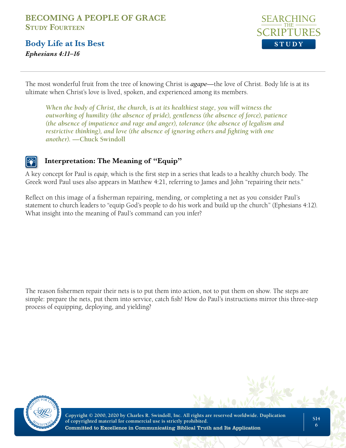**Body Life at Its Best** *Ephesians 4:11–16*



The most wonderful fruit from the tree of knowing Christ is *agape*—the love of Christ. Body life is at its ultimate when Christ's love is lived, spoken, and experienced among its members.

*When the body of Christ, the church, is at its healthiest stage, you will witness the outworking of humility (the absence of pride), gentleness (the absence of force), patience (the absence of impatience and rage and anger), tolerance (the absence of legalism and restrictive thinking), and love (the absence of ignoring others and fighting with one another).* **—Chuck Swindoll**

## **Interpretation: The Meaning of "Equip"**

A key concept for Paul is *equip*, which is the first step in a series that leads to a healthy church body. The Greek word Paul uses also appears in Matthew 4:21, referring to James and John "repairing their nets."

Reflect on this image of a fisherman repairing, mending, or completing a net as you consider Paul's statement to church leaders to "equip God's people to do his work and build up the church" (Ephesians 4:12). What insight into the meaning of Paul's command can you infer?

The reason fishermen repair their nets is to put them into action, not to put them on show. The steps are simple: prepare the nets, put them into service, catch fish! How do Paul's instructions mirror this three-step process of equipping, deploying, and yielding?

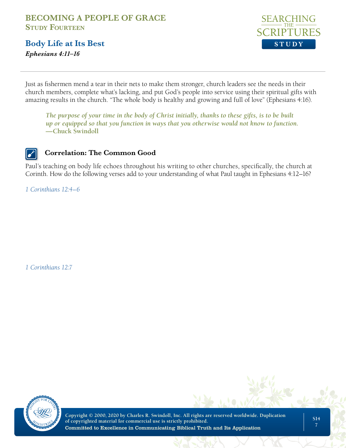**Body Life at Its Best** *Ephesians 4:11–16*



Just as fishermen mend a tear in their nets to make them stronger, church leaders see the needs in their church members, complete what's lacking, and put God's people into service using their spiritual gifts with amazing results in the church. "The whole body is healthy and growing and full of love" (Ephesians 4:16).

*The purpose of your time in the body of Christ initially, thanks to these gifts, is to be built up or equipped so that you function in ways that you otherwise would not know to function.*  **—Chuck Swindoll**

### **Correlation: The Common Good**

Paul's teaching on body life echoes throughout his writing to other churches, specifically, the church at Corinth. How do the following verses add to your understanding of what Paul taught in Ephesians 4:12–16?

*[1 Corinthians 12:4–6](https://www.biblegateway.com/passage/?search=1+cor+12%3A4-6&version=NLT)*

*[1 Corinthians 12:7](https://www.biblegateway.com/passage/?search=1+cor+12%3A7&version=NLT)*

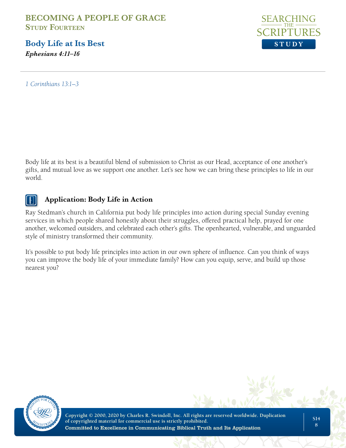**Body Life at Its Best** *Ephesians 4:11–16*



*[1 Corinthians 13:1–3](https://www.biblegateway.com/passage/?search=1+Corinthians+13%3A1-3&version=NLT)*

Body life at its best is a beautiful blend of submission to Christ as our Head, acceptance of one another's gifts, and mutual love as we support one another. Let's see how we can bring these principles to life in our world.

### **Application: Body Life in Action**

Ray Stedman's church in California put body life principles into action during special Sunday evening services in which people shared honestly about their struggles, offered practical help, prayed for one another, welcomed outsiders, and celebrated each other's gifts. The openhearted, vulnerable, and unguarded style of ministry transformed their community.

It's possible to put body life principles into action in our own sphere of influence. Can you think of ways you can improve the body life of your immediate family? How can you equip, serve, and build up those nearest you?

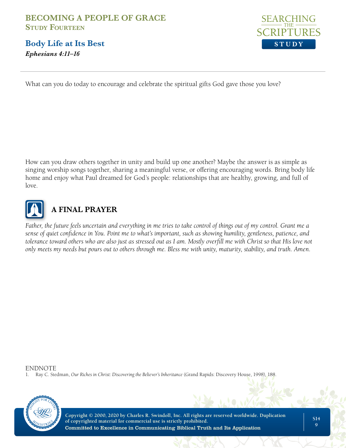**Body Life at Its Best** *Ephesians 4:11–16*



What can you do today to encourage and celebrate the spiritual gifts God gave those you love?

How can you draw others together in unity and build up one another? Maybe the answer is as simple as singing worship songs together, sharing a meaningful verse, or offering encouraging words. Bring body life home and enjoy what Paul dreamed for God's people: relationships that are healthy, growing, and full of love.



# **A FINAL PRAYER**

Father, the future feels uncertain and everything in me tries to take control of things out of my control. Grant me a *sense of quiet confidence in You. Point me to what's important, such as showing humility, gentleness, patience, and tolerance toward others who are also just as stressed out as I am. Mostly overfill me with Christ so that His love not only meets my needs but pours out to others through me. Bless me with unity, maturity, stability, and truth. Amen.*

ENDNOTE

1. Ray C. Stedman, *Our Riches in Christ: Discovering the Believer's Inheritance* (Grand Rapids: Discovery House, 1998), 188.